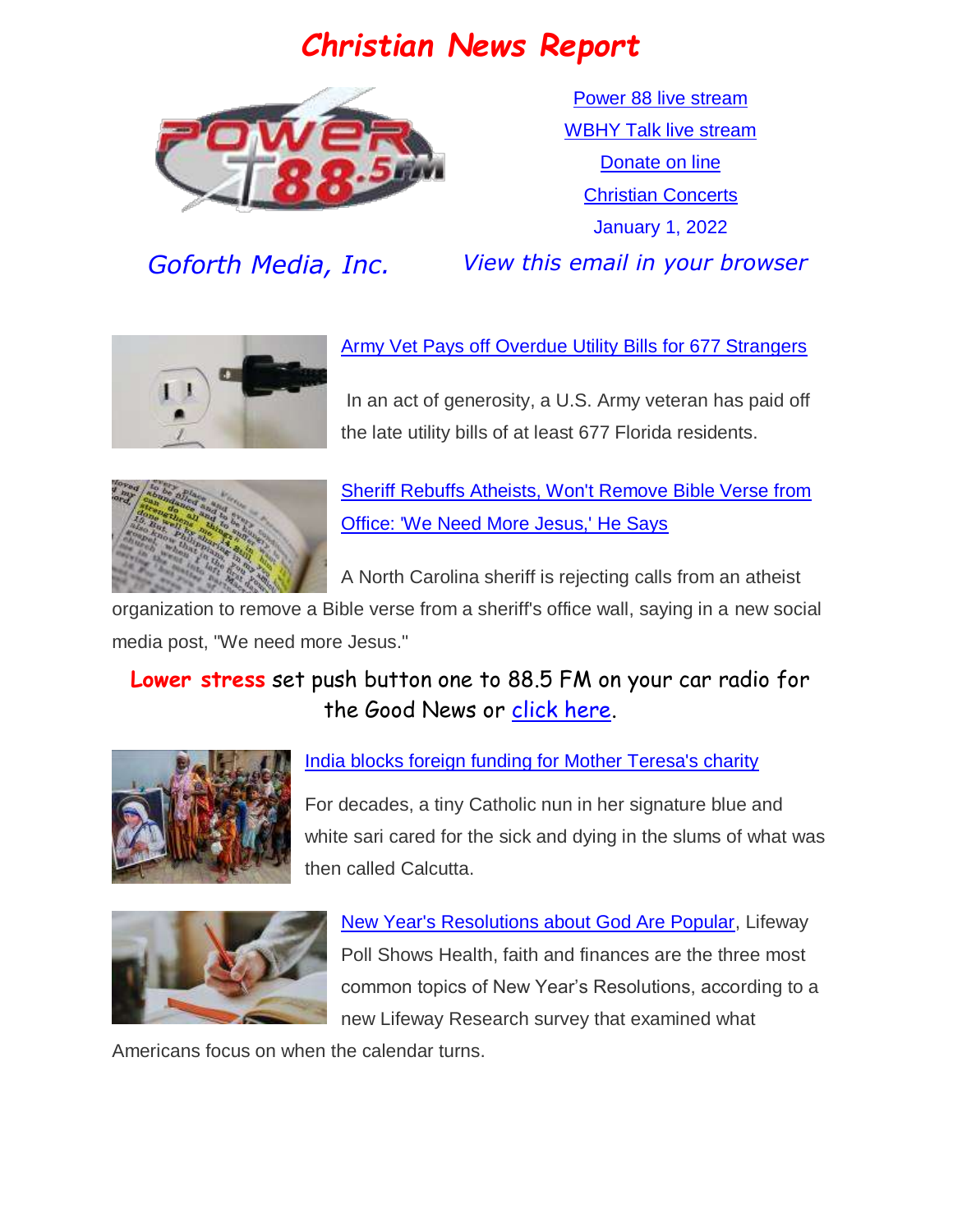# *Christian News Report*



[Power 88 live stream](https://us7.maindigitalstream.com/2920/index.php) [WBHY Talk live stream](http://148.72.155.47:8573/Ahxed5k) [Donate on line](https://forms.ministryforms.net/viewForm.aspx?formId=018b4ff7-2c2f-4f0e-8ef2-689f9601b826) [Christian Concerts](https://www.goforth.org/Concerts) January 1, 2022

*Goforth Media, Inc. View this email in your browser*



[Army Vet Pays off Overdue Utility Bills for 677 Strangers](https://www.christianheadlines.com/contributors/milton-quintanilla/army-vet-pays-off-overdue-utility-bills-for-677-strangers.html)

In an act of generosity, a U.S. Army veteran has paid off the late utility bills of at least 677 Florida residents.



[Sheriff Rebuffs Atheists, Won't Remove Bible Verse from](https://www.christianheadlines.com/contributors/michael-foust/sheriff-rebuffs-atheists-wont-remove-bible-verse-from-office-we-need-more-jesus-he-says.html)  [Office: 'We Need More Jesus,' He Says](https://www.christianheadlines.com/contributors/michael-foust/sheriff-rebuffs-atheists-wont-remove-bible-verse-from-office-we-need-more-jesus-he-says.html)

A North Carolina sheriff is rejecting calls from an atheist

organization to remove a Bible verse from a sheriff's office wall, saying in a new social media post, "We need more Jesus."

#### **Lower stress** set push button one to 88.5 FM on your car radio for the Good News or [click here.](https://us7.maindigitalstream.com/2920/)



#### [India blocks foreign funding for Mother Teresa's charity](https://www.npr.org/2021/12/28/1068500102/india-blocks-foreign-funding-for-mother-teresas-charity)

For decades, a tiny Catholic nun in her signature blue and white sari cared for the sick and dying in the slums of what was then called Calcutta.



New [Year's Resolutions about God Are Popular,](https://www.christianheadlines.com/contributors/michael-foust/near-years-resolutions-about-god-are-popular-lifeway-poll-shows.html) Lifeway Poll Shows Health, faith and finances are the three most common topics of New Year's Resolutions, according to a new Lifeway Research survey that examined what

Americans focus on when the calendar turns.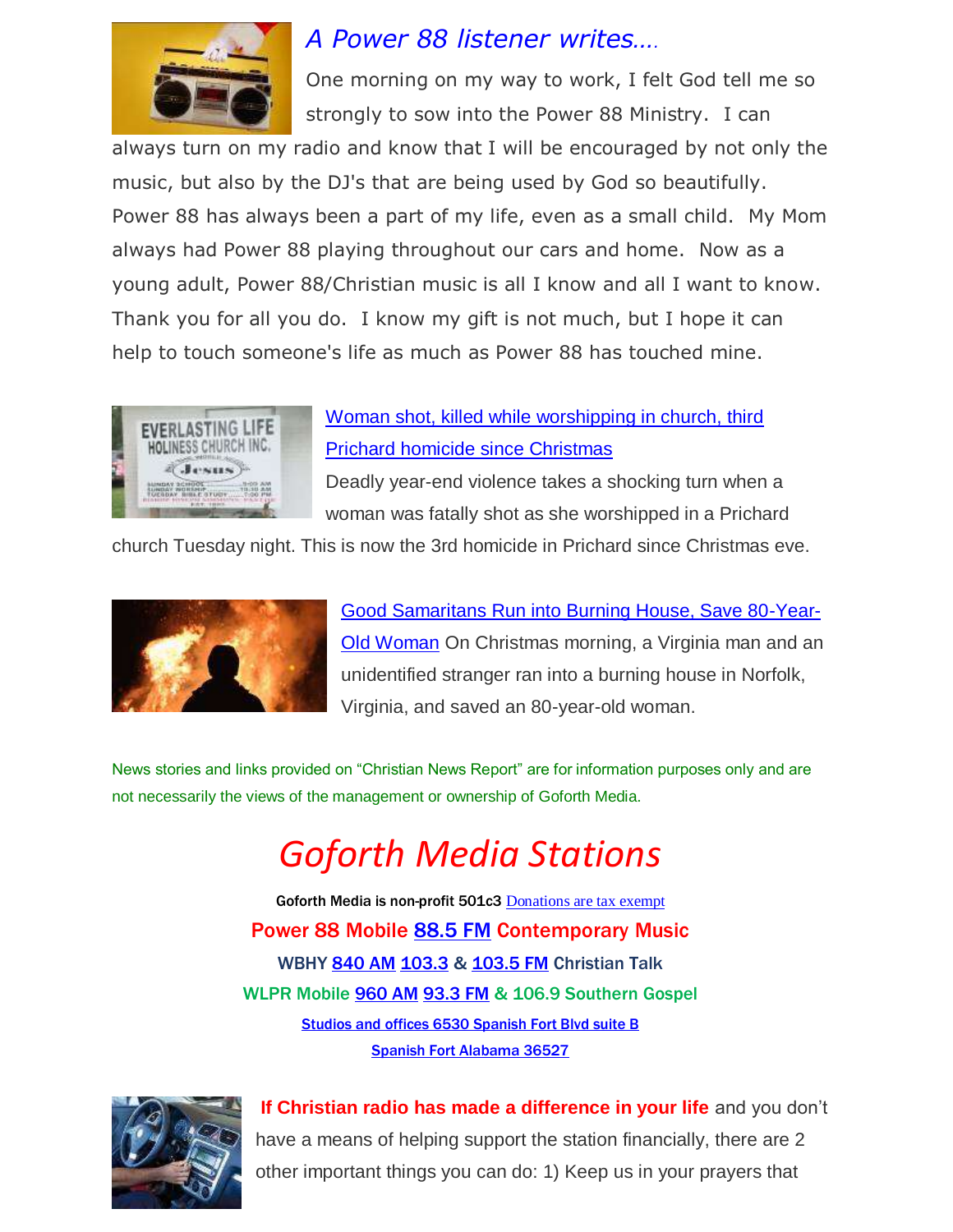

## *A Power 88 listener writes….*

One morning on my way to work, I felt God tell me so strongly to sow into the Power 88 Ministry. I can

always turn on my radio and know that I will be encouraged by not only the music, but also by the DJ's that are being used by God so beautifully. Power 88 has always been a part of my life, even as a small child. My Mom always had Power 88 playing throughout our cars and home. Now as a young adult, Power 88/Christian music is all I know and all I want to know. Thank you for all you do. I know my gift is not much, but I hope it can help to touch someone's life as much as Power 88 has touched mine.



#### [Woman shot, killed while worshipping in church, third](https://mynbc15.com/news/local/prichard-woman-shot-to-death-during-church-third-prichard-homicide-since-christmas)  [Prichard homicide since Christmas](https://mynbc15.com/news/local/prichard-woman-shot-to-death-during-church-third-prichard-homicide-since-christmas)

Deadly year-end violence takes a shocking turn when a woman was fatally shot as she worshipped in a Prichard

church Tuesday night. This is now the 3rd homicide in Prichard since Christmas eve.



[Good Samaritans Run into Burning House, Save 80-Year-](https://www.christianheadlines.com/blog/good-samaritans-run-into-burning-house-save-80-year-old-woman.html)[Old Woman](https://www.christianheadlines.com/blog/good-samaritans-run-into-burning-house-save-80-year-old-woman.html) On Christmas morning, a Virginia man and an unidentified stranger ran into a burning house in Norfolk, Virginia, and saved an 80-year-old woman.

News stories and links provided on "Christian News Report" are for information purposes only and are not necessarily the views of the management or ownership of Goforth Media.

# *Goforth Media Stations*

Goforth Media is non-profit 501c3 [Donations are tax exempt](https://forms.ministryforms.net/viewForm.aspx?formId=018b4ff7-2c2f-4f0e-8ef2-689f9601b826) Power 88 Mobile [88.5 FM](https://radio-locator.com/cgi-bin/pat?call=WBHY&service=FM) Contemporary Music WBHY [840 AM](https://radio-locator.com/cgi-bin/pat?call=WBHY&service=AM&h=D) [103.3](https://radio-locator.com/cgi-bin/pat?call=WBHY&service=FM) & [103.5 FM](https://radio-locator.com/cgi-bin/pat?call=WBHY&service=AM&h=D) Christian Talk WLPR Mobile [960 AM](https://radio-locator.com/cgi-bin/pat?call=WLPR&service=AM&h=D) [93.3 FM](https://radio-locator.com/cgi-bin/pat?call=W227DA&service=FX) & 106.9 Southern Gospel [Studios and offices 6530 Spanish Fort Blvd suite B](https://www.google.com/maps/place/Power+88+Radio/@30.667541,-87.9124627,17z/data=!3m1!4b1!4m5!3m4!1s0x889a43144093f9bd:0x8d064181e7261e9!8m2!3d30.667541!4d-87.910274) [Spanish Fort Alabama 36527](https://www.google.com/maps/place/Power+88+Radio/@30.667541,-87.9124627,17z/data=!3m1!4b1!4m5!3m4!1s0x889a43144093f9bd:0x8d064181e7261e9!8m2!3d30.667541!4d-87.910274)



**If Christian radio has made a difference in your life** and you don't have a means of helping support the station financially, there are 2 other important things you can do: 1) Keep us in your prayers that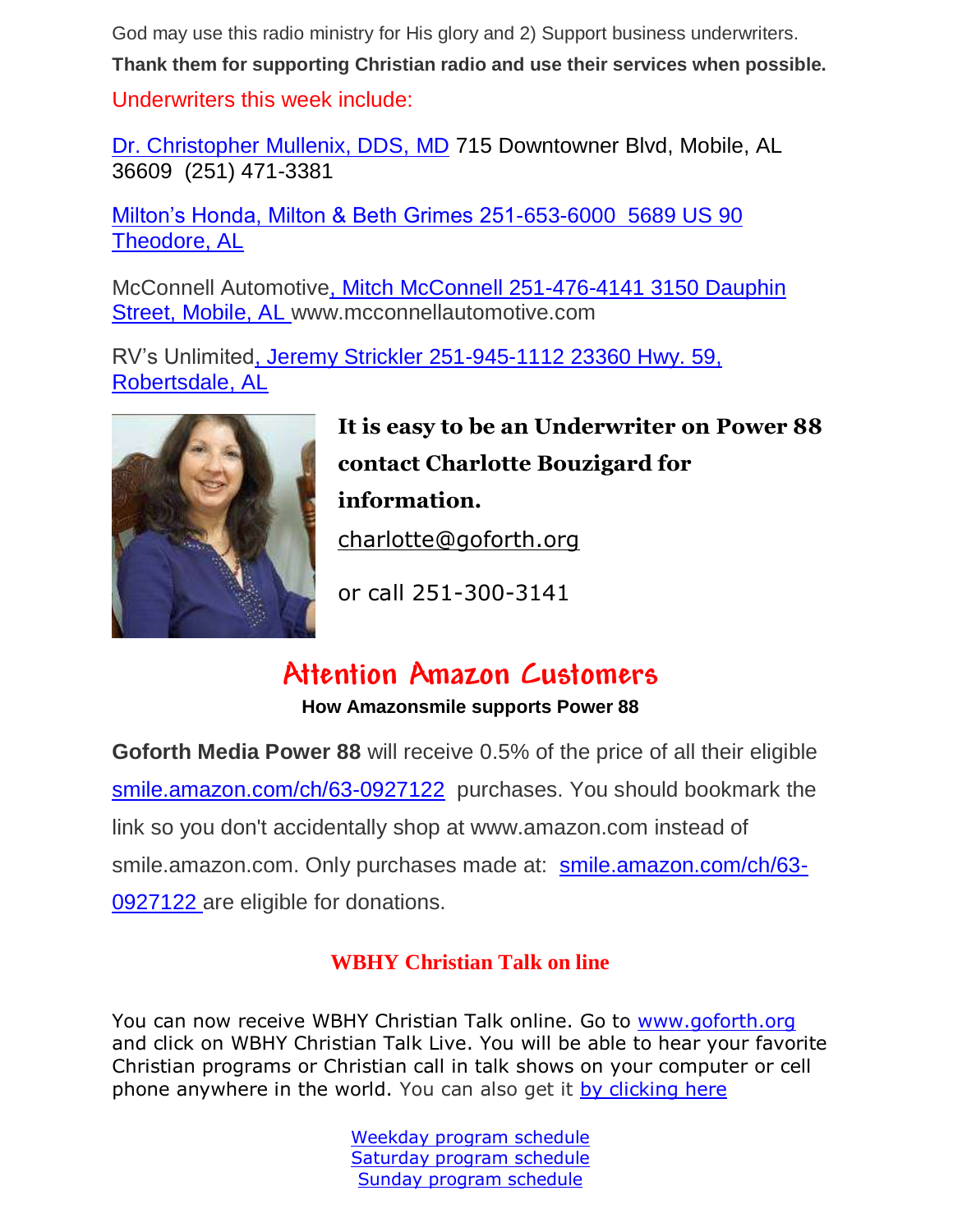God may use this radio ministry for His glory and 2) Support business underwriters.

**Thank them for supporting Christian radio and use their services when possible.** Underwriters this week include:

[Dr. Christopher Mullenix, DDS, MD](https://mobileoralsurgery.com/) 715 Downtowner Blvd, Mobile, AL 36609 (251) 471-3381

Milton's Honda, Milton & Beth Grimes 251-653-6000 5689 US 90 Theodore, AL

[McConnell Automotive,](http://www.mcconnellautomotive.com/) Mitch McConnell 251-476-4141 3150 Dauphin Street, Mobile, AL [www.mcconnellautomotive.com](http://www.mcconnellautomotive.com/)

[RV's Unlimited,](http://www.rvsunlimited.com/) Jeremy Strickler 251-945-1112 23360 Hwy. 59, Robertsdale, AL



**It is easy to be an Underwriter on Power 88 contact Charlotte Bouzigard for information.** [charlotte@goforth.org](mailto:charlotte@goforth.org)

or call 251-300-3141

## **Attention Amazon Customers**

**How Amazonsmile supports Power 88**

**Goforth Media Power 88** will receive 0.5% of the price of all their eligible [smile.amazon.com/ch/63-0927122](https://www.amazon.com/gp/r.html?C=2AU9G2CMQ9IQM&R=1QK2JMJNP3GH7&T=C&U=http%3A%2F%2Fsmile.amazon.com%2Fch%2F63-0927122&A=BCZPEIHVLV99IVSUOLG1YPFXTGWA&H=XVLELAMUAST3PRIK4CW2E8JRKTCA) purchases. You should bookmark the link so you don't accidentally shop at www.amazon.com instead of smile.amazon.com. Only purchases made at: [smile.amazon.com/ch/63-](https://www.amazon.com/gp/r.html?C=2AU9G2CMQ9IQM&R=1QK2JMJNP3GH7&T=C&U=http%3A%2F%2Fsmile.amazon.com%2Fch%2F63-0927122&A=BCZPEIHVLV99IVSUOLG1YPFXTGWA&H=XVLELAMUAST3PRIK4CW2E8JRKTCA) [0927122](https://www.amazon.com/gp/r.html?C=2AU9G2CMQ9IQM&R=1QK2JMJNP3GH7&T=C&U=http%3A%2F%2Fsmile.amazon.com%2Fch%2F63-0927122&A=BCZPEIHVLV99IVSUOLG1YPFXTGWA&H=XVLELAMUAST3PRIK4CW2E8JRKTCA) are eligible for donations.

#### **WBHY Christian Talk on line**

You can now receive WBHY Christian Talk online. Go to [www.goforth.org](http://www.goforth.org/) and click on WBHY Christian Talk Live. You will be able to hear your favorite Christian programs or Christian call in talk shows on your computer or cell phone anywhere in the world. You can also get it [by clicking here](http://148.72.155.47:8573/Ahxed5k)

> [Weekday program schedule](https://goforth.schoolinsites.com/dailyprogramschedule) [Saturday program schedule](https://goforth.schoolinsites.com/saturdayprogramschedule) [Sunday program schedule](https://goforth.schoolinsites.com/sundayprogramschedule)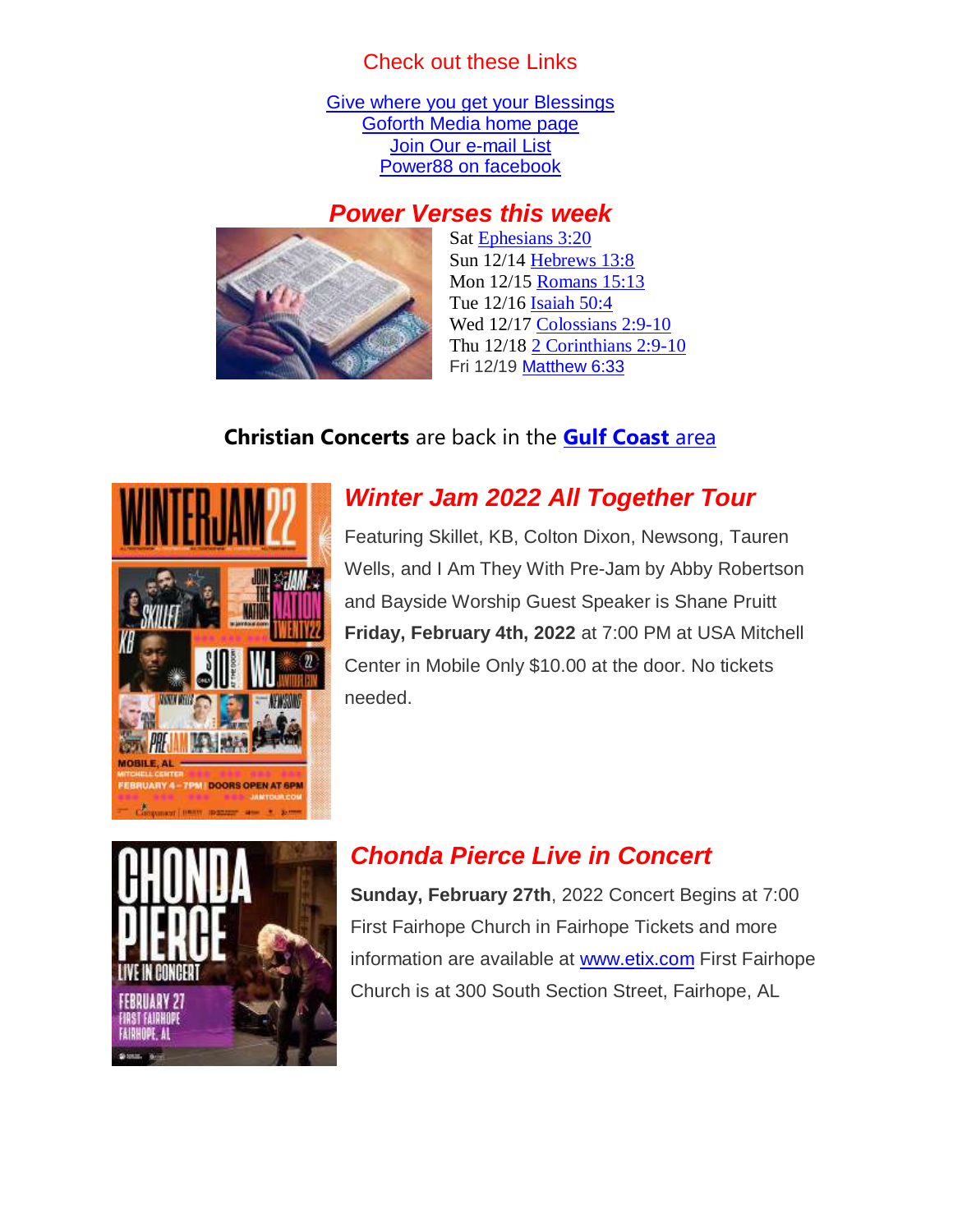#### Check out these Links

[Give where you get your Blessings](https://forms.ministryforms.net/viewForm.aspx?formId=018b4ff7-2c2f-4f0e-8ef2-689f9601b826) [Goforth Media home page](http://www.goforth.org/) [Join Our e-mail List](http://user.goforth.org/mail-form/mail_form.htm) [Power88 on facebook](http://www.facebook.com/Power88fm)

#### *Power Verses this week*



Sat [Ephesians 3:20](https://www.biblegateway.com/passage/?search=Ephesians+3%3A20&version=NIV) Sun 12/14 [Hebrews 13:8](https://www.biblegateway.com/passage/?search=Hebrews+13%3A8&version=NIV) Mon 12/15 [Romans 15:13](https://www.biblegateway.com/passage/?search=Romans+15%3A13&version=NIV) Tue 12/16 [Isaiah 50:4](https://www.biblegateway.com/passage/?search=Isaiah+50%3A4&version=NIV) Wed 12/17 [Colossians 2:9-10](https://www.biblegateway.com/passage/?search=Colossians+2%3A9-10&version=NIV) Thu 12/18 [2 Corinthians 2:9-10](https://www.biblegateway.com/passage/?search=2+Corinthians+2%3A9-10&version=NIV) Fri 12/19 [Matthew 6:33](https://www.biblegateway.com/passage/?search=Matthew+6%3A33&version=NIV)

#### **Christian Concerts** are back in the **[Gulf Coast](Christian%20Concerts%20are%20back%20in%20the%20Gulf%20Coast%20area)** area



### *Winter Jam 2022 All Together Tour*

Featuring Skillet, KB, Colton Dixon, Newsong, Tauren Wells, and I Am They With Pre-Jam by Abby Robertson and Bayside Worship Guest Speaker is Shane Pruitt **Friday, February 4th, 2022** at 7:00 PM at USA Mitchell Center in Mobile Only \$10.00 at the door. No tickets needed.



#### *Chonda Pierce Live in Concert*

**Sunday, February 27th**, 2022 Concert Begins at 7:00 First Fairhope Church in Fairhope Tickets and more information are available at [www.etix.com](http://www.etix.com/) First Fairhope Church is at 300 South Section Street, Fairhope, AL